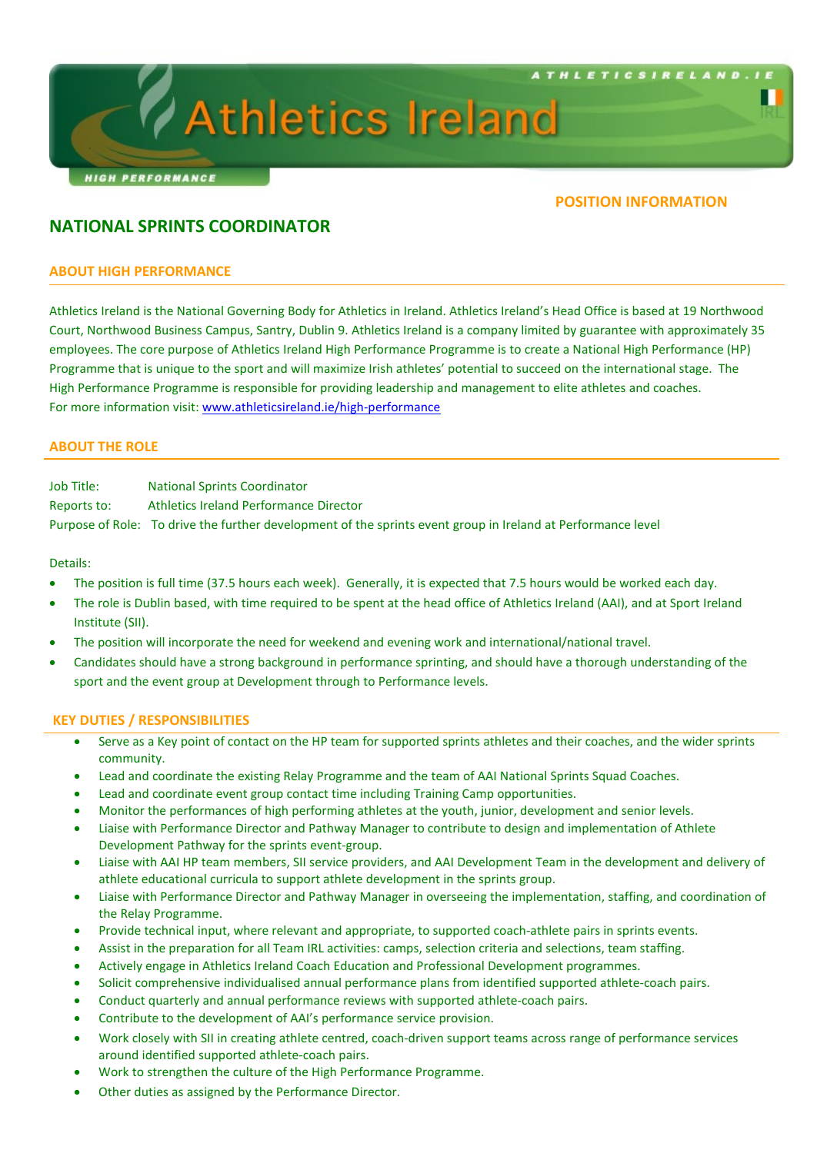

# **Athletics Ireland**

## **POSITION INFORMATION**

## **NATIONAL SPRINTS COORDINATOR**

## **ABOUT HIGH PERFORMANCE**

Athletics Ireland is the National Governing Body for Athletics in Ireland. Athletics Ireland's Head Office is based at 19 Northwood Court, Northwood Business Campus, Santry, Dublin 9. Athletics Ireland is a company limited by guarantee with approximately 35 employees. The core purpose of Athletics Ireland High Performance Programme is to create a National High Performance (HP) Programme that is unique to the sport and will maximize Irish athletes' potential to succeed on the international stage. The High Performance Programme is responsible for providing leadership and management to elite athletes and coaches. For more information visit[: www.athleticsireland.ie/high-performance](http://www.athleticsireland.ie/high-performance)

## **ABOUT THE ROLE**

Job Title: National Sprints Coordinator Reports to: Athletics Ireland Performance Director Purpose of Role: To drive the further development of the sprints event group in Ireland at Performance level

Details:

- The position is full time (37.5 hours each week). Generally, it is expected that 7.5 hours would be worked each day.
- The role is Dublin based, with time required to be spent at the head office of Athletics Ireland (AAI), and at Sport Ireland Institute (SII).
- The position will incorporate the need for weekend and evening work and international/national travel.
- Candidates should have a strong background in performance sprinting, and should have a thorough understanding of the sport and the event group at Development through to Performance levels.

#### **KEY DUTIES / RESPONSIBILITIES**

- Serve as a Key point of contact on the HP team for supported sprints athletes and their coaches, and the wider sprints community.
- Lead and coordinate the existing Relay Programme and the team of AAI National Sprints Squad Coaches.
- Lead and coordinate event group contact time including Training Camp opportunities.
- Monitor the performances of high performing athletes at the youth, junior, development and senior levels.
- Liaise with Performance Director and Pathway Manager to contribute to design and implementation of Athlete Development Pathway for the sprints event-group.
- Liaise with AAI HP team members, SII service providers, and AAI Development Team in the development and delivery of athlete educational curricula to support athlete development in the sprints group.
- Liaise with Performance Director and Pathway Manager in overseeing the implementation, staffing, and coordination of the Relay Programme.
- Provide technical input, where relevant and appropriate, to supported coach-athlete pairs in sprints events.
- Assist in the preparation for all Team IRL activities: camps, selection criteria and selections, team staffing.
- Actively engage in Athletics Ireland Coach Education and Professional Development programmes.
- Solicit comprehensive individualised annual performance plans from identified supported athlete-coach pairs.
- Conduct quarterly and annual performance reviews with supported athlete-coach pairs.
- Contribute to the development of AAI's performance service provision.
- Work closely with SII in creating athlete centred, coach-driven support teams across range of performance services around identified supported athlete-coach pairs.
- Work to strengthen the culture of the High Performance Programme.
- Other duties as assigned by the Performance Director.